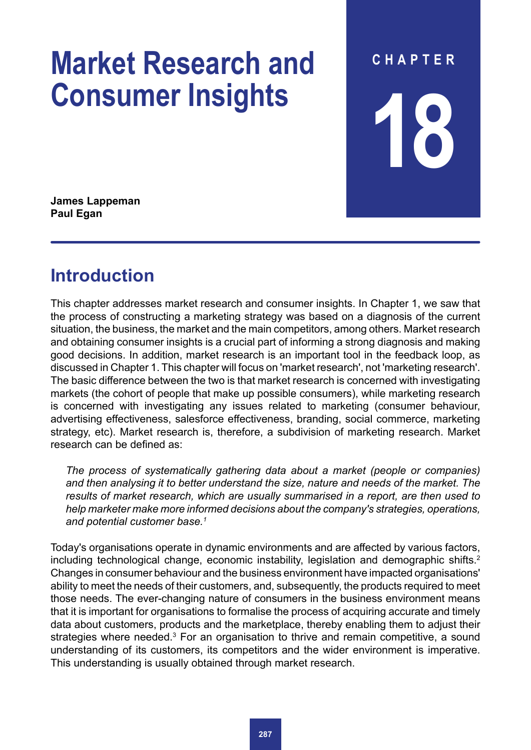# **Market Research and Consumer Insights**

**CHAPTER 18**

**James Lappeman Paul Egan**

# **Introduction**

This chapter addresses market research and consumer insights. In Chapter 1, we saw that the process of constructing a marketing strategy was based on a diagnosis of the current situation, the business, the market and the main competitors, among others. Market research and obtaining consumer insights is a crucial part of informing a strong diagnosis and making good decisions. In addition, market research is an important tool in the feedback loop, as discussed in Chapter 1. This chapter will focus on 'market research', not 'marketing research'. The basic difference between the two is that market research is concerned with investigating markets (the cohort of people that make up possible consumers), while marketing research is concerned with investigating any issues related to marketing (consumer behaviour, advertising effectiveness, salesforce effectiveness, branding, social commerce, marketing strategy, etc). Market research is, therefore, a subdivision of marketing research. Market research can be defined as:

*The process of systematically gathering data about a market (people or companies) and then analysing it to better understand the size, nature and needs of the market. The results of market research, which are usually summarised in a report, are then used to help marketer make more informed decisions about the company's strategies, operations, and potential customer base.1*

Today's organisations operate in dynamic environments and are affected by various factors, including technological change, economic instability, legislation and demographic shifts.<sup>2</sup> Changes in consumer behaviour and the business environment have impacted organisations' ability to meet the needs of their customers, and, subsequently, the products required to meet those needs. The ever-changing nature of consumers in the business environment means that it is important for organisations to formalise the process of acquiring accurate and timely data about customers, products and the marketplace, thereby enabling them to adjust their strategies where needed.<sup>3</sup> For an organisation to thrive and remain competitive, a sound understanding of its customers, its competitors and the wider environment is imperative. This understanding is usually obtained through market research.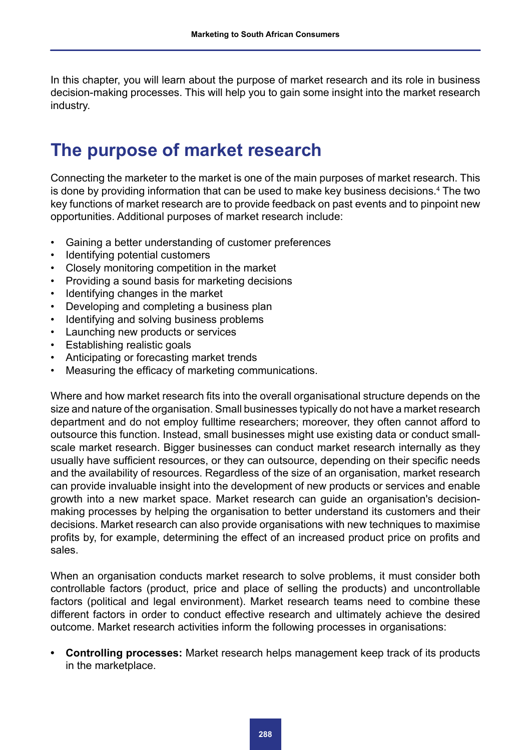In this chapter, you will learn about the purpose of market research and its role in business decision-making processes. This will help you to gain some insight into the market research industry.

## **The purpose of market research**

Connecting the marketer to the market is one of the main purposes of market research. This is done by providing information that can be used to make key business decisions.<sup>4</sup> The two key functions of market research are to provide feedback on past events and to pinpoint new opportunities. Additional purposes of market research include:

- Gaining a better understanding of customer preferences
- Identifying potential customers
- Closely monitoring competition in the market
- Providing a sound basis for marketing decisions
- Identifying changes in the market
- Developing and completing a business plan
- Identifying and solving business problems
- Launching new products or services
- Establishing realistic goals
- Anticipating or forecasting market trends
- Measuring the efficacy of marketing communications.

Where and how market research fits into the overall organisational structure depends on the size and nature of the organisation. Small businesses typically do not have a market research department and do not employ fulltime researchers; moreover, they often cannot afford to outsource this function. Instead, small businesses might use existing data or conduct smallscale market research. Bigger businesses can conduct market research internally as they usually have sufficient resources, or they can outsource, depending on their specific needs and the availability of resources. Regardless of the size of an organisation, market research can provide invaluable insight into the development of new products or services and enable growth into a new market space. Market research can guide an organisation's decisionmaking processes by helping the organisation to better understand its customers and their decisions. Market research can also provide organisations with new techniques to maximise profits by, for example, determining the effect of an increased product price on profits and sales.

When an organisation conducts market research to solve problems, it must consider both controllable factors (product, price and place of selling the products) and uncontrollable factors (political and legal environment). Market research teams need to combine these different factors in order to conduct effective research and ultimately achieve the desired outcome. Market research activities inform the following processes in organisations:

**• Controlling processes:** Market research helps management keep track of its products in the marketplace.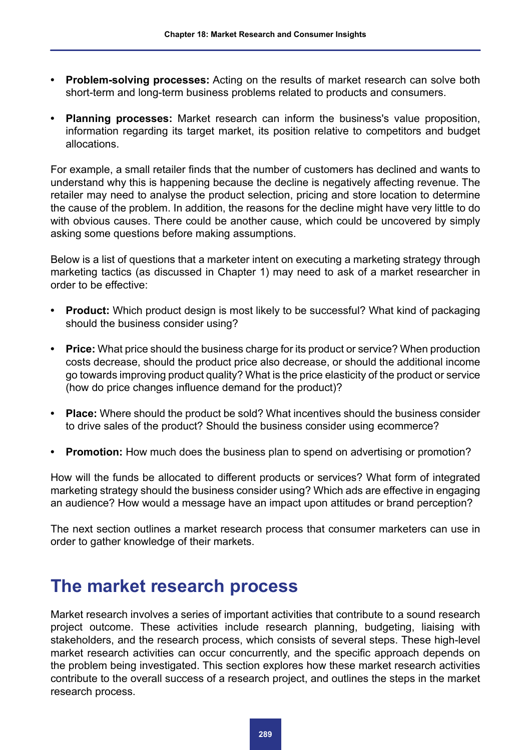- **• Problem-solving processes:** Acting on the results of market research can solve both short-term and long-term business problems related to products and consumers.
- **• Planning processes:** Market research can inform the business's value proposition, information regarding its target market, its position relative to competitors and budget allocations.

For example, a small retailer finds that the number of customers has declined and wants to understand why this is happening because the decline is negatively affecting revenue. The retailer may need to analyse the product selection, pricing and store location to determine the cause of the problem. In addition, the reasons for the decline might have very little to do with obvious causes. There could be another cause, which could be uncovered by simply asking some questions before making assumptions.

Below is a list of questions that a marketer intent on executing a marketing strategy through marketing tactics (as discussed in Chapter 1) may need to ask of a market researcher in order to be effective:

- **• Product:** Which product design is most likely to be successful? What kind of packaging should the business consider using?
- **• Price:** What price should the business charge for its product or service? When production costs decrease, should the product price also decrease, or should the additional income go towards improving product quality? What is the price elasticity of the product or service (how do price changes influence demand for the product)?
- **• Place:** Where should the product be sold? What incentives should the business consider to drive sales of the product? Should the business consider using ecommerce?
- **• Promotion:** How much does the business plan to spend on advertising or promotion?

How will the funds be allocated to different products or services? What form of integrated marketing strategy should the business consider using? Which ads are effective in engaging an audience? How would a message have an impact upon attitudes or brand perception?

The next section outlines a market research process that consumer marketers can use in order to gather knowledge of their markets.

# **The market research process**

Market research involves a series of important activities that contribute to a sound research project outcome. These activities include research planning, budgeting, liaising with stakeholders, and the research process, which consists of several steps. These high-level market research activities can occur concurrently, and the specific approach depends on the problem being investigated. This section explores how these market research activities contribute to the overall success of a research project, and outlines the steps in the market research process.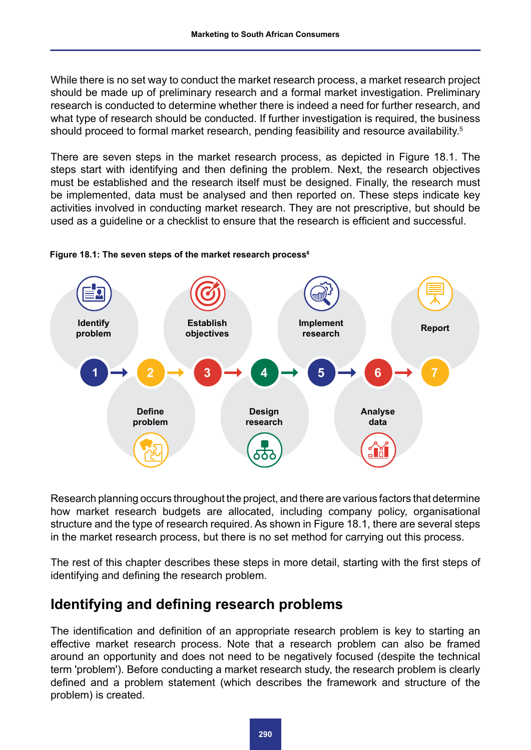While there is no set way to conduct the market research process, a market research project should be made up of preliminary research and a formal market investigation. Preliminary research is conducted to determine whether there is indeed a need for further research, and what type of research should be conducted. If further investigation is required, the business should proceed to formal market research, pending feasibility and resource availability.<sup>5</sup>

There are seven steps in the market research process, as depicted in Figure 18.1. The steps start with identifying and then defining the problem. Next, the research objectives must be established and the research itself must be designed. Finally, the research must be implemented, data must be analysed and then reported on. These steps indicate key activities involved in conducting market research. They are not prescriptive, but should be used as a guideline or a checklist to ensure that the research is efficient and successful.



#### **Figure 18.1: The seven steps of the market research process6**

Research planning occurs throughout the project, and there are various factors that determine how market research budgets are allocated, including company policy, organisational structure and the type of research required. As shown in Figure 18.1, there are several steps in the market research process, but there is no set method for carrying out this process.

The rest of this chapter describes these steps in more detail, starting with the first steps of identifying and defining the research problem.

### **Identifying and defining research problems**

The identification and definition of an appropriate research problem is key to starting an effective market research process. Note that a research problem can also be framed around an opportunity and does not need to be negatively focused (despite the technical term 'problem'). Before conducting a market research study, the research problem is clearly defined and a problem statement (which describes the framework and structure of the problem) is created.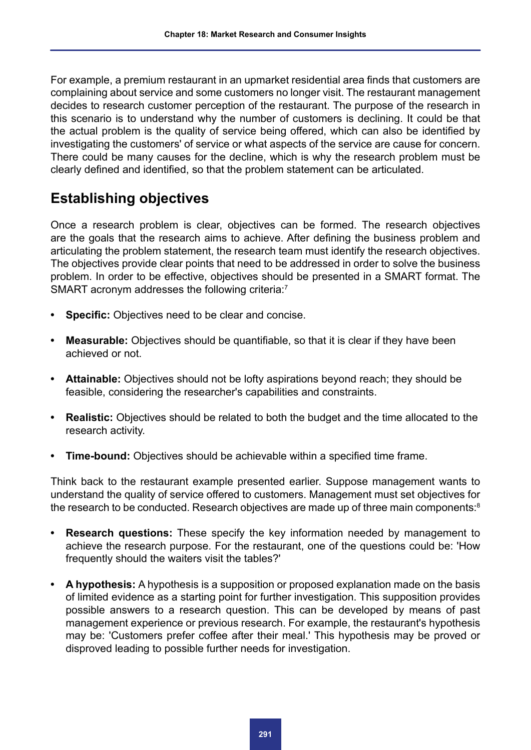For example, a premium restaurant in an upmarket residential area finds that customers are complaining about service and some customers no longer visit. The restaurant management decides to research customer perception of the restaurant. The purpose of the research in this scenario is to understand why the number of customers is declining. It could be that the actual problem is the quality of service being offered, which can also be identified by investigating the customers' of service or what aspects of the service are cause for concern. There could be many causes for the decline, which is why the research problem must be clearly defined and identified, so that the problem statement can be articulated.

### **Establishing objectives**

Once a research problem is clear, objectives can be formed. The research objectives are the goals that the research aims to achieve. After defining the business problem and articulating the problem statement, the research team must identify the research objectives. The objectives provide clear points that need to be addressed in order to solve the business problem. In order to be effective, objectives should be presented in a SMART format. The SMART acronym addresses the following criteria:<sup>7</sup>

- **• Specific:** Objectives need to be clear and concise.
- **• Measurable:** Objectives should be quantifiable, so that it is clear if they have been achieved or not.
- **• Attainable:** Objectives should not be lofty aspirations beyond reach; they should be feasible, considering the researcher's capabilities and constraints.
- **• Realistic:** Objectives should be related to both the budget and the time allocated to the research activity.
- **• Time-bound:** Objectives should be achievable within a specified time frame.

Think back to the restaurant example presented earlier. Suppose management wants to understand the quality of service offered to customers. Management must set objectives for the research to be conducted. Research objectives are made up of three main components:<sup>8</sup>

- **• Research questions:** These specify the key information needed by management to achieve the research purpose. For the restaurant, one of the questions could be: 'How frequently should the waiters visit the tables?'
- **• A hypothesis:** A hypothesis is a supposition or proposed explanation made on the basis of limited evidence as a starting point for further investigation. This supposition provides possible answers to a research question. This can be developed by means of past management experience or previous research. For example, the restaurant's hypothesis may be: 'Customers prefer coffee after their meal.' This hypothesis may be proved or disproved leading to possible further needs for investigation.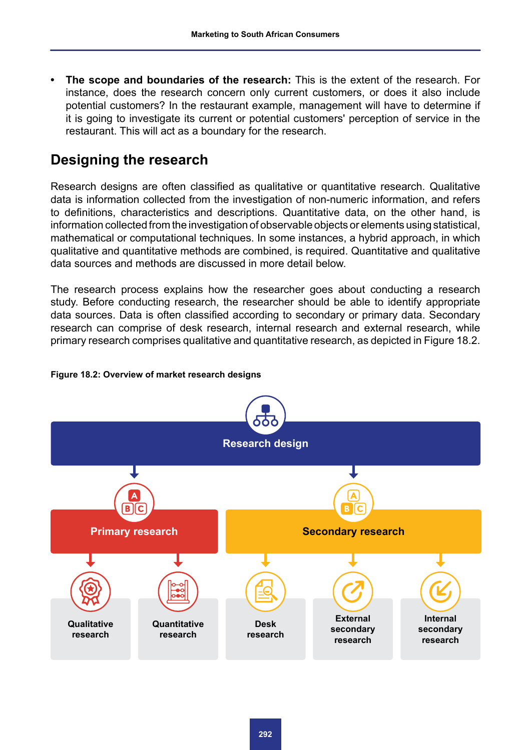**• The scope and boundaries of the research:** This is the extent of the research. For instance, does the research concern only current customers, or does it also include potential customers? In the restaurant example, management will have to determine if it is going to investigate its current or potential customers' perception of service in the restaurant. This will act as a boundary for the research.

### **Designing the research**

Research designs are often classified as qualitative or quantitative research. Qualitative data is information collected from the investigation of non-numeric information, and refers to definitions, characteristics and descriptions. Quantitative data, on the other hand, is information collected from the investigation of observable objects or elements using statistical, mathematical or computational techniques. In some instances, a hybrid approach, in which qualitative and quantitative methods are combined, is required. Quantitative and qualitative data sources and methods are discussed in more detail below.

The research process explains how the researcher goes about conducting a research study. Before conducting research, the researcher should be able to identify appropriate data sources. Data is often classified according to secondary or primary data. Secondary research can comprise of desk research, internal research and external research, while primary research comprises qualitative and quantitative research, as depicted in Figure 18.2.

#### **Figure 18.2: Overview of market research designs**

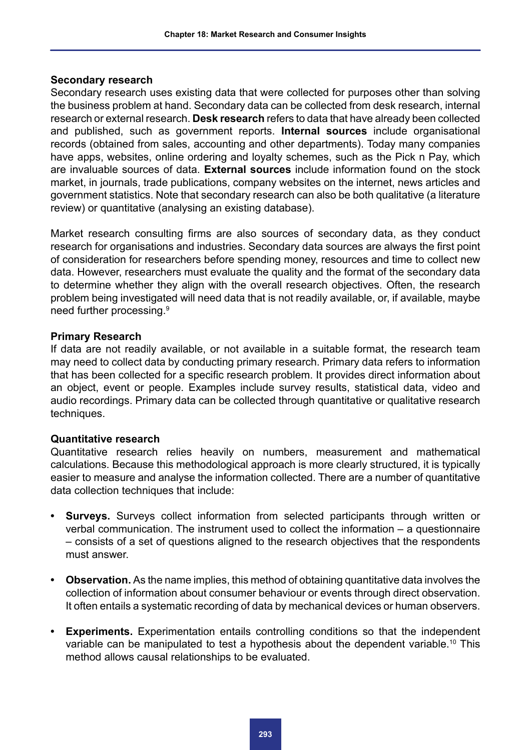### **Secondary research**

Secondary research uses existing data that were collected for purposes other than solving the business problem at hand. Secondary data can be collected from desk research, internal research or external research. **Desk research** refers to data that have already been collected and published, such as government reports. **Internal sources** include organisational records (obtained from sales, accounting and other departments). Today many companies have apps, websites, online ordering and loyalty schemes, such as the Pick n Pay, which are invaluable sources of data. **External sources** include information found on the stock market, in journals, trade publications, company websites on the internet, news articles and government statistics. Note that secondary research can also be both qualitative (a literature review) or quantitative (analysing an existing database).

Market research consulting firms are also sources of secondary data, as they conduct research for organisations and industries. Secondary data sources are always the first point of consideration for researchers before spending money, resources and time to collect new data. However, researchers must evaluate the quality and the format of the secondary data to determine whether they align with the overall research objectives. Often, the research problem being investigated will need data that is not readily available, or, if available, maybe need further processing.9

### **Primary Research**

If data are not readily available, or not available in a suitable format, the research team may need to collect data by conducting primary research. Primary data refers to information that has been collected for a specific research problem. It provides direct information about an object, event or people. Examples include survey results, statistical data, video and audio recordings. Primary data can be collected through quantitative or qualitative research techniques.

### **Quantitative research**

Quantitative research relies heavily on numbers, measurement and mathematical calculations. Because this methodological approach is more clearly structured, it is typically easier to measure and analyse the information collected. There are a number of quantitative data collection techniques that include:

- **• Surveys.** Surveys collect information from selected participants through written or verbal communication. The instrument used to collect the information – a questionnaire – consists of a set of questions aligned to the research objectives that the respondents must answer.
- **• Observation.** As the name implies, this method of obtaining quantitative data involves the collection of information about consumer behaviour or events through direct observation. It often entails a systematic recording of data by mechanical devices or human observers.
- **• Experiments.** Experimentation entails controlling conditions so that the independent variable can be manipulated to test a hypothesis about the dependent variable.<sup>10</sup> This method allows causal relationships to be evaluated.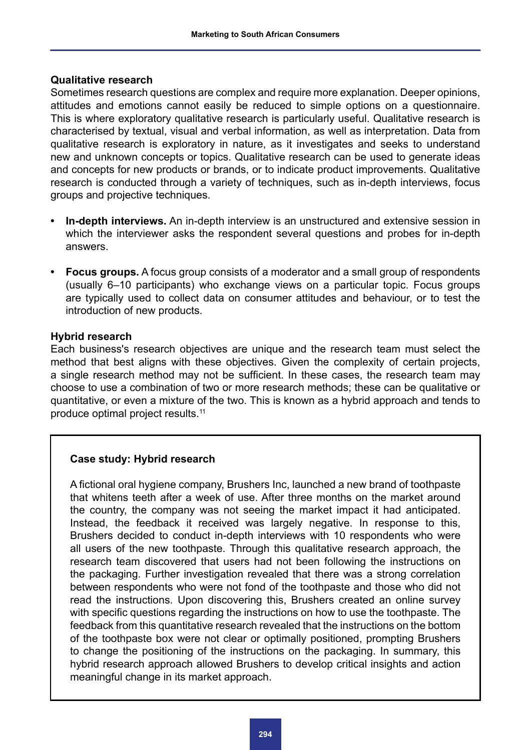### **Qualitative research**

Sometimes research questions are complex and require more explanation. Deeper opinions, attitudes and emotions cannot easily be reduced to simple options on a questionnaire. This is where exploratory qualitative research is particularly useful. Qualitative research is characterised by textual, visual and verbal information, as well as interpretation. Data from qualitative research is exploratory in nature, as it investigates and seeks to understand new and unknown concepts or topics. Qualitative research can be used to generate ideas and concepts for new products or brands, or to indicate product improvements. Qualitative research is conducted through a variety of techniques, such as in-depth interviews, focus groups and projective techniques.

- **• In-depth interviews.** An in-depth interview is an unstructured and extensive session in which the interviewer asks the respondent several questions and probes for in-depth answers.
- **• Focus groups.** A focus group consists of a moderator and a small group of respondents (usually 6–10 participants) who exchange views on a particular topic. Focus groups are typically used to collect data on consumer attitudes and behaviour, or to test the introduction of new products.

### **Hybrid research**

Each business's research objectives are unique and the research team must select the method that best aligns with these objectives. Given the complexity of certain projects, a single research method may not be sufficient. In these cases, the research team may choose to use a combination of two or more research methods; these can be qualitative or quantitative, or even a mixture of the two. This is known as a hybrid approach and tends to produce optimal project results.11

### **Case study: Hybrid research**

A fictional oral hygiene company, Brushers Inc, launched a new brand of toothpaste that whitens teeth after a week of use. After three months on the market around the country, the company was not seeing the market impact it had anticipated. Instead, the feedback it received was largely negative. In response to this, Brushers decided to conduct in-depth interviews with 10 respondents who were all users of the new toothpaste. Through this qualitative research approach, the research team discovered that users had not been following the instructions on the packaging. Further investigation revealed that there was a strong correlation between respondents who were not fond of the toothpaste and those who did not read the instructions. Upon discovering this, Brushers created an online survey with specific questions regarding the instructions on how to use the toothpaste. The feedback from this quantitative research revealed that the instructions on the bottom of the toothpaste box were not clear or optimally positioned, prompting Brushers to change the positioning of the instructions on the packaging. In summary, this hybrid research approach allowed Brushers to develop critical insights and action meaningful change in its market approach.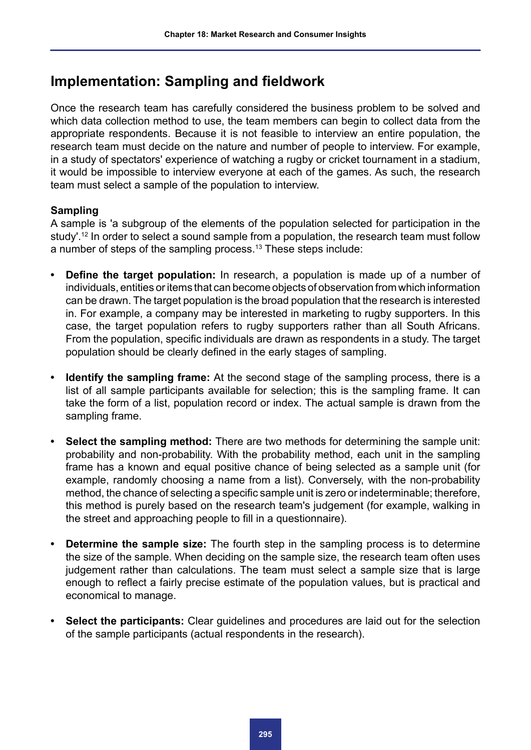### **Implementation: Sampling and fieldwork**

Once the research team has carefully considered the business problem to be solved and which data collection method to use, the team members can begin to collect data from the appropriate respondents. Because it is not feasible to interview an entire population, the research team must decide on the nature and number of people to interview. For example, in a study of spectators' experience of watching a rugby or cricket tournament in a stadium, it would be impossible to interview everyone at each of the games. As such, the research team must select a sample of the population to interview.

### **Sampling**

A sample is 'a subgroup of the elements of the population selected for participation in the study'.<sup>12</sup> In order to select a sound sample from a population, the research team must follow a number of steps of the sampling process.<sup>13</sup> These steps include:

- **• Define the target population:** In research, a population is made up of a number of individuals, entities or items that can become objects of observation from which information can be drawn. The target population is the broad population that the research is interested in. For example, a company may be interested in marketing to rugby supporters. In this case, the target population refers to rugby supporters rather than all South Africans. From the population, specific individuals are drawn as respondents in a study. The target population should be clearly defined in the early stages of sampling.
- **• Identify the sampling frame:** At the second stage of the sampling process, there is a list of all sample participants available for selection; this is the sampling frame. It can take the form of a list, population record or index. The actual sample is drawn from the sampling frame.
- **• Select the sampling method:** There are two methods for determining the sample unit: probability and non-probability. With the probability method, each unit in the sampling frame has a known and equal positive chance of being selected as a sample unit (for example, randomly choosing a name from a list). Conversely, with the non-probability method, the chance of selecting a specific sample unit is zero or indeterminable; therefore, this method is purely based on the research team's judgement (for example, walking in the street and approaching people to fill in a questionnaire).
- **• Determine the sample size:** The fourth step in the sampling process is to determine the size of the sample. When deciding on the sample size, the research team often uses judgement rather than calculations. The team must select a sample size that is large enough to reflect a fairly precise estimate of the population values, but is practical and economical to manage.
- **• Select the participants:** Clear guidelines and procedures are laid out for the selection of the sample participants (actual respondents in the research).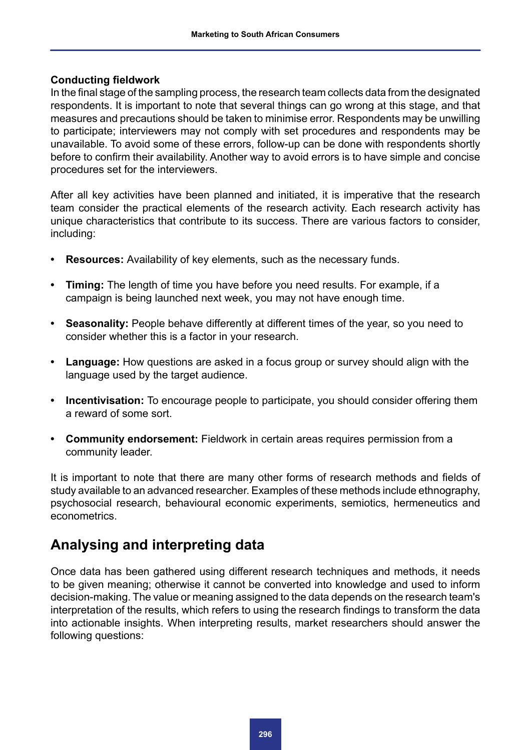### **Conducting fieldwork**

In the final stage of the sampling process, the research team collects data from the designated respondents. It is important to note that several things can go wrong at this stage, and that measures and precautions should be taken to minimise error. Respondents may be unwilling to participate; interviewers may not comply with set procedures and respondents may be unavailable. To avoid some of these errors, follow-up can be done with respondents shortly before to confirm their availability. Another way to avoid errors is to have simple and concise procedures set for the interviewers.

After all key activities have been planned and initiated, it is imperative that the research team consider the practical elements of the research activity. Each research activity has unique characteristics that contribute to its success. There are various factors to consider, including:

- **• Resources:** Availability of key elements, such as the necessary funds.
- **• Timing:** The length of time you have before you need results. For example, if a campaign is being launched next week, you may not have enough time.
- **Seasonality:** People behave differently at different times of the year, so you need to consider whether this is a factor in your research.
- **• Language:** How questions are asked in a focus group or survey should align with the language used by the target audience.
- **• Incentivisation:** To encourage people to participate, you should consider offering them a reward of some sort.
- **• Community endorsement:** Fieldwork in certain areas requires permission from a community leader.

It is important to note that there are many other forms of research methods and fields of study available to an advanced researcher. Examples of these methods include ethnography, psychosocial research, behavioural economic experiments, semiotics, hermeneutics and econometrics.

### **Analysing and interpreting data**

Once data has been gathered using different research techniques and methods, it needs to be given meaning; otherwise it cannot be converted into knowledge and used to inform decision-making. The value or meaning assigned to the data depends on the research team's interpretation of the results, which refers to using the research findings to transform the data into actionable insights. When interpreting results, market researchers should answer the following questions: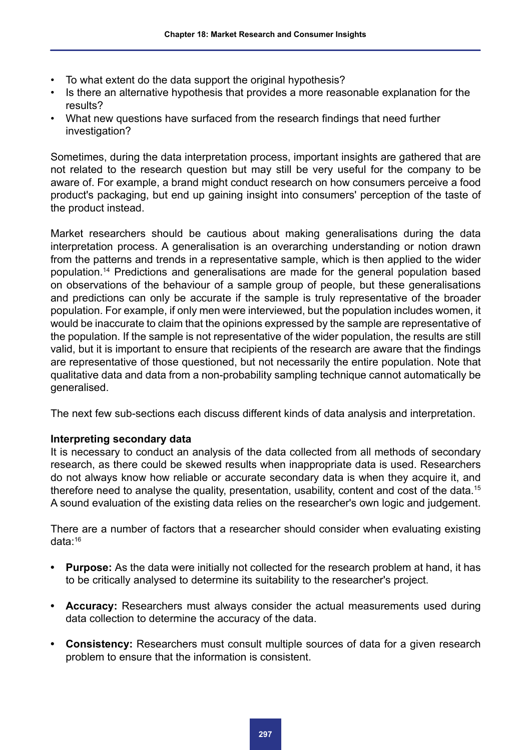- To what extent do the data support the original hypothesis?
- Is there an alternative hypothesis that provides a more reasonable explanation for the results?
- What new questions have surfaced from the research findings that need further investigation?

Sometimes, during the data interpretation process, important insights are gathered that are not related to the research question but may still be very useful for the company to be aware of. For example, a brand might conduct research on how consumers perceive a food product's packaging, but end up gaining insight into consumers' perception of the taste of the product instead.

Market researchers should be cautious about making generalisations during the data interpretation process. A generalisation is an overarching understanding or notion drawn from the patterns and trends in a representative sample, which is then applied to the wider population.14 Predictions and generalisations are made for the general population based on observations of the behaviour of a sample group of people, but these generalisations and predictions can only be accurate if the sample is truly representative of the broader population. For example, if only men were interviewed, but the population includes women, it would be inaccurate to claim that the opinions expressed by the sample are representative of the population. If the sample is not representative of the wider population, the results are still valid, but it is important to ensure that recipients of the research are aware that the findings are representative of those questioned, but not necessarily the entire population. Note that qualitative data and data from a non-probability sampling technique cannot automatically be generalised.

The next few sub-sections each discuss different kinds of data analysis and interpretation.

### **Interpreting secondary data**

It is necessary to conduct an analysis of the data collected from all methods of secondary research, as there could be skewed results when inappropriate data is used. Researchers do not always know how reliable or accurate secondary data is when they acquire it, and therefore need to analyse the quality, presentation, usability, content and cost of the data.<sup>15</sup> A sound evaluation of the existing data relies on the researcher's own logic and judgement.

There are a number of factors that a researcher should consider when evaluating existing data:16

- **• Purpose:** As the data were initially not collected for the research problem at hand, it has to be critically analysed to determine its suitability to the researcher's project.
- **• Accuracy:** Researchers must always consider the actual measurements used during data collection to determine the accuracy of the data.
- **• Consistency:** Researchers must consult multiple sources of data for a given research problem to ensure that the information is consistent.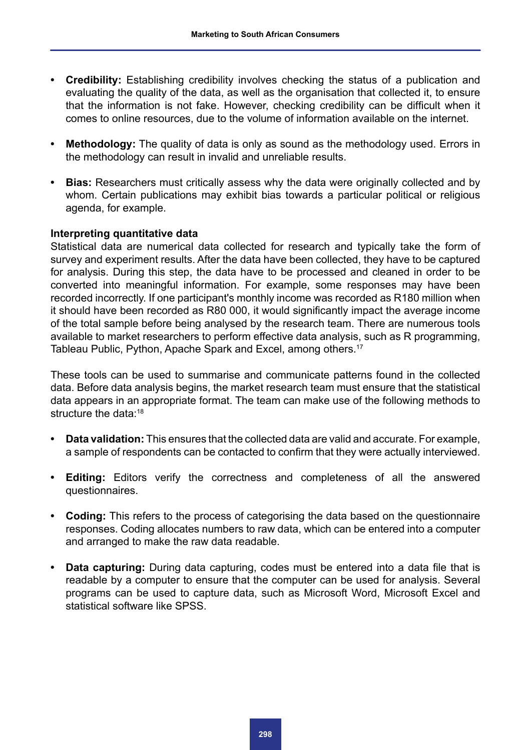- **• Credibility:** Establishing credibility involves checking the status of a publication and evaluating the quality of the data, as well as the organisation that collected it, to ensure that the information is not fake. However, checking credibility can be difficult when it comes to online resources, due to the volume of information available on the internet.
- **• Methodology:** The quality of data is only as sound as the methodology used. Errors in the methodology can result in invalid and unreliable results.
- **Bias:** Researchers must critically assess why the data were originally collected and by whom. Certain publications may exhibit bias towards a particular political or religious agenda, for example.

### **Interpreting quantitative data**

Statistical data are numerical data collected for research and typically take the form of survey and experiment results. After the data have been collected, they have to be captured for analysis. During this step, the data have to be processed and cleaned in order to be converted into meaningful information. For example, some responses may have been recorded incorrectly. If one participant's monthly income was recorded as R180 million when it should have been recorded as R80 000, it would significantly impact the average income of the total sample before being analysed by the research team. There are numerous tools available to market researchers to perform effective data analysis, such as R programming, Tableau Public, Python, Apache Spark and Excel, among others.<sup>17</sup>

These tools can be used to summarise and communicate patterns found in the collected data. Before data analysis begins, the market research team must ensure that the statistical data appears in an appropriate format. The team can make use of the following methods to structure the data:<sup>18</sup>

- **• Data validation:** This ensures that the collected data are valid and accurate. For example, a sample of respondents can be contacted to confirm that they were actually interviewed.
- **• Editing:** Editors verify the correctness and completeness of all the answered questionnaires.
- **• Coding:** This refers to the process of categorising the data based on the questionnaire responses. Coding allocates numbers to raw data, which can be entered into a computer and arranged to make the raw data readable.
- **• Data capturing:** During data capturing, codes must be entered into a data file that is readable by a computer to ensure that the computer can be used for analysis. Several programs can be used to capture data, such as Microsoft Word, Microsoft Excel and statistical software like SPSS.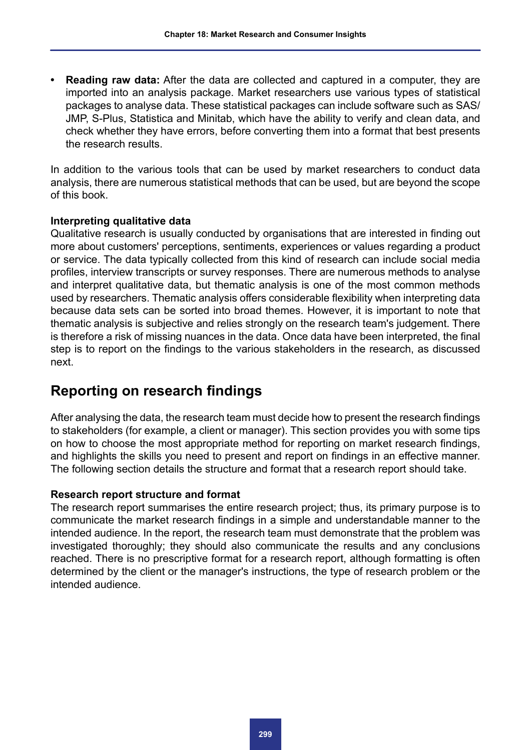**• Reading raw data:** After the data are collected and captured in a computer, they are imported into an analysis package. Market researchers use various types of statistical packages to analyse data. These statistical packages can include software such as SAS/ JMP, S-Plus, Statistica and Minitab, which have the ability to verify and clean data, and check whether they have errors, before converting them into a format that best presents the research results.

In addition to the various tools that can be used by market researchers to conduct data analysis, there are numerous statistical methods that can be used, but are beyond the scope of this book.

### **Interpreting qualitative data**

Qualitative research is usually conducted by organisations that are interested in finding out more about customers' perceptions, sentiments, experiences or values regarding a product or service. The data typically collected from this kind of research can include social media profiles, interview transcripts or survey responses. There are numerous methods to analyse and interpret qualitative data, but thematic analysis is one of the most common methods used by researchers. Thematic analysis offers considerable flexibility when interpreting data because data sets can be sorted into broad themes. However, it is important to note that thematic analysis is subjective and relies strongly on the research team's judgement. There is therefore a risk of missing nuances in the data. Once data have been interpreted, the final step is to report on the findings to the various stakeholders in the research, as discussed next.

### **Reporting on research findings**

After analysing the data, the research team must decide how to present the research findings to stakeholders (for example, a client or manager). This section provides you with some tips on how to choose the most appropriate method for reporting on market research findings, and highlights the skills you need to present and report on findings in an effective manner. The following section details the structure and format that a research report should take.

### **Research report structure and format**

The research report summarises the entire research project; thus, its primary purpose is to communicate the market research findings in a simple and understandable manner to the intended audience. In the report, the research team must demonstrate that the problem was investigated thoroughly; they should also communicate the results and any conclusions reached. There is no prescriptive format for a research report, although formatting is often determined by the client or the manager's instructions, the type of research problem or the intended audience.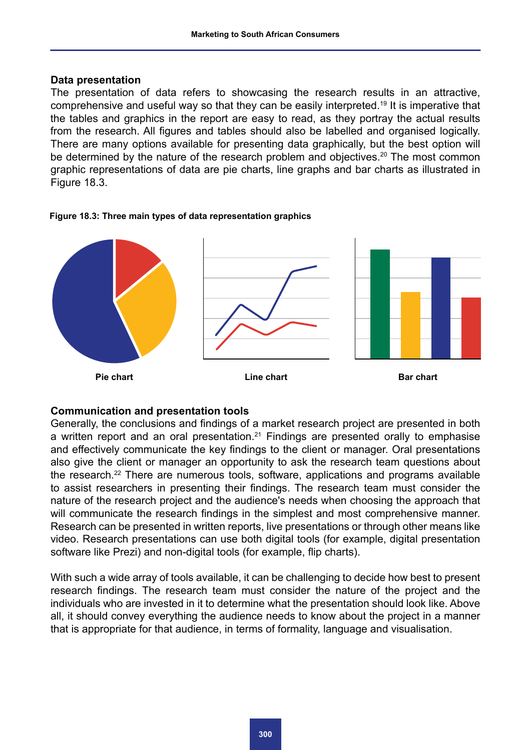#### **Data presentation**

The presentation of data refers to showcasing the research results in an attractive, comprehensive and useful way so that they can be easily interpreted.19 It is imperative that the tables and graphics in the report are easy to read, as they portray the actual results from the research. All figures and tables should also be labelled and organised logically. There are many options available for presenting data graphically, but the best option will be determined by the nature of the research problem and objectives.<sup>20</sup> The most common graphic representations of data are pie charts, line graphs and bar charts as illustrated in Figure 18.3.





### **Communication and presentation tools**

Generally, the conclusions and findings of a market research project are presented in both a written report and an oral presentation.<sup>21</sup> Findings are presented orally to emphasise and effectively communicate the key findings to the client or manager. Oral presentations also give the client or manager an opportunity to ask the research team questions about the research.<sup>22</sup> There are numerous tools, software, applications and programs available to assist researchers in presenting their findings. The research team must consider the nature of the research project and the audience's needs when choosing the approach that will communicate the research findings in the simplest and most comprehensive manner. Research can be presented in written reports, live presentations or through other means like video. Research presentations can use both digital tools (for example, digital presentation software like Prezi) and non-digital tools (for example, flip charts).

With such a wide array of tools available, it can be challenging to decide how best to present research findings. The research team must consider the nature of the project and the individuals who are invested in it to determine what the presentation should look like. Above all, it should convey everything the audience needs to know about the project in a manner that is appropriate for that audience, in terms of formality, language and visualisation.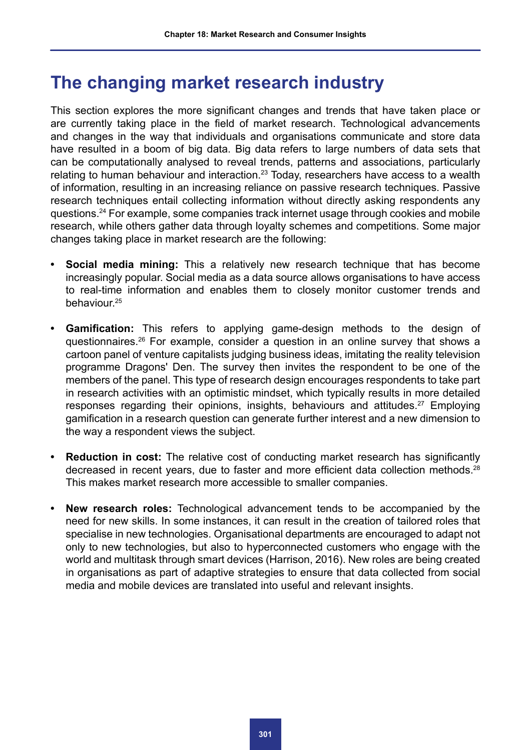# **The changing market research industry**

This section explores the more significant changes and trends that have taken place or are currently taking place in the field of market research. Technological advancements and changes in the way that individuals and organisations communicate and store data have resulted in a boom of big data. Big data refers to large numbers of data sets that can be computationally analysed to reveal trends, patterns and associations, particularly relating to human behaviour and interaction.<sup>23</sup> Today, researchers have access to a wealth of information, resulting in an increasing reliance on passive research techniques. Passive research techniques entail collecting information without directly asking respondents any questions.24 For example, some companies track internet usage through cookies and mobile research, while others gather data through loyalty schemes and competitions. Some major changes taking place in market research are the following:

- **• Social media mining:** This a relatively new research technique that has become increasingly popular. Social media as a data source allows organisations to have access to real-time information and enables them to closely monitor customer trends and behaviour.25
- **• Gamification:** This refers to applying game-design methods to the design of questionnaires.26 For example, consider a question in an online survey that shows a cartoon panel of venture capitalists judging business ideas, imitating the reality television programme Dragons' Den. The survey then invites the respondent to be one of the members of the panel. This type of research design encourages respondents to take part in research activities with an optimistic mindset, which typically results in more detailed responses regarding their opinions, insights, behaviours and attitudes.<sup>27</sup> Employing gamification in a research question can generate further interest and a new dimension to the way a respondent views the subject.
- **• Reduction in cost:** The relative cost of conducting market research has significantly decreased in recent years, due to faster and more efficient data collection methods.<sup>28</sup> This makes market research more accessible to smaller companies.
- **• New research roles:** Technological advancement tends to be accompanied by the need for new skills. In some instances, it can result in the creation of tailored roles that specialise in new technologies. Organisational departments are encouraged to adapt not only to new technologies, but also to hyperconnected customers who engage with the world and multitask through smart devices (Harrison, 2016). New roles are being created in organisations as part of adaptive strategies to ensure that data collected from social media and mobile devices are translated into useful and relevant insights.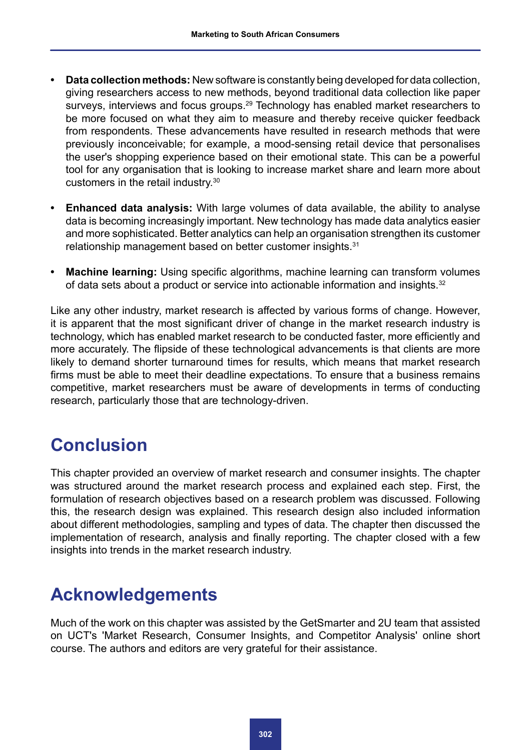- **• Data collection methods:** New software is constantly being developed for data collection, giving researchers access to new methods, beyond traditional data collection like paper surveys, interviews and focus groups.<sup>29</sup> Technology has enabled market researchers to be more focused on what they aim to measure and thereby receive quicker feedback from respondents. These advancements have resulted in research methods that were previously inconceivable; for example, a mood-sensing retail device that personalises the user's shopping experience based on their emotional state. This can be a powerful tool for any organisation that is looking to increase market share and learn more about customers in the retail industry.30
- **• Enhanced data analysis:** With large volumes of data available, the ability to analyse data is becoming increasingly important. New technology has made data analytics easier and more sophisticated. Better analytics can help an organisation strengthen its customer relationship management based on better customer insights.<sup>31</sup>
- **• Machine learning:** Using specific algorithms, machine learning can transform volumes of data sets about a product or service into actionable information and insights.<sup>32</sup>

Like any other industry, market research is affected by various forms of change. However, it is apparent that the most significant driver of change in the market research industry is technology, which has enabled market research to be conducted faster, more efficiently and more accurately. The flipside of these technological advancements is that clients are more likely to demand shorter turnaround times for results, which means that market research firms must be able to meet their deadline expectations. To ensure that a business remains competitive, market researchers must be aware of developments in terms of conducting research, particularly those that are technology-driven.

# **Conclusion**

This chapter provided an overview of market research and consumer insights. The chapter was structured around the market research process and explained each step. First, the formulation of research objectives based on a research problem was discussed. Following this, the research design was explained. This research design also included information about different methodologies, sampling and types of data. The chapter then discussed the implementation of research, analysis and finally reporting. The chapter closed with a few insights into trends in the market research industry.

# **Acknowledgements**

Much of the work on this chapter was assisted by the GetSmarter and 2U team that assisted on UCT's 'Market Research, Consumer Insights, and Competitor Analysis' online short course. The authors and editors are very grateful for their assistance.